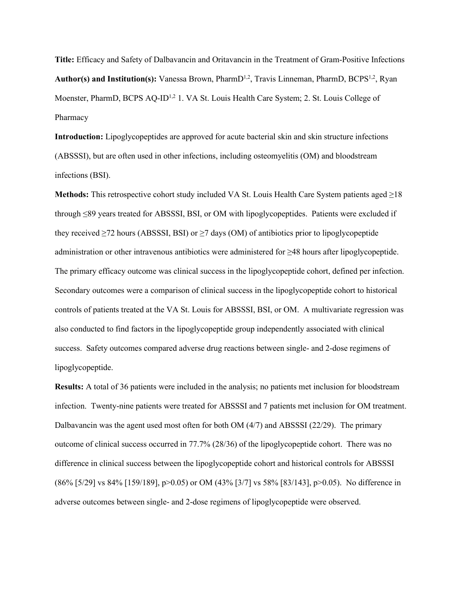**Title:** Efficacy and Safety of Dalbavancin and Oritavancin in the Treatment of Gram-Positive Infections Author(s) and Institution(s): Vanessa Brown, PharmD<sup>1,2</sup>, Travis Linneman, PharmD, BCPS<sup>1,2</sup>, Ryan Moenster, PharmD, BCPS AQ-ID<sup>1,2</sup> 1. VA St. Louis Health Care System; 2. St. Louis College of Pharmacy

**Introduction:** Lipoglycopeptides are approved for acute bacterial skin and skin structure infections (ABSSSI), but are often used in other infections, including osteomyelitis (OM) and bloodstream infections (BSI).

**Methods:** This retrospective cohort study included VA St. Louis Health Care System patients aged ≥18 through ≤89 years treated for ABSSSI, BSI, or OM with lipoglycopeptides. Patients were excluded if they received  $\geq$ 72 hours (ABSSSI, BSI) or  $\geq$ 7 days (OM) of antibiotics prior to lipoglycopeptide administration or other intravenous antibiotics were administered for ≥48 hours after lipoglycopeptide. The primary efficacy outcome was clinical success in the lipoglycopeptide cohort, defined per infection. Secondary outcomes were a comparison of clinical success in the lipoglycopeptide cohort to historical controls of patients treated at the VA St. Louis for ABSSSI, BSI, or OM. A multivariate regression was also conducted to find factors in the lipoglycopeptide group independently associated with clinical success. Safety outcomes compared adverse drug reactions between single- and 2-dose regimens of lipoglycopeptide.

**Results:** A total of 36 patients were included in the analysis; no patients met inclusion for bloodstream infection. Twenty-nine patients were treated for ABSSSI and 7 patients met inclusion for OM treatment. Dalbavancin was the agent used most often for both OM (4/7) and ABSSSI (22/29). The primary outcome of clinical success occurred in 77.7% (28/36) of the lipoglycopeptide cohort. There was no difference in clinical success between the lipoglycopeptide cohort and historical controls for ABSSSI (86% [5/29] vs 84% [159/189], p>0.05) or OM (43% [3/7] vs 58% [83/143], p>0.05). No difference in adverse outcomes between single- and 2-dose regimens of lipoglycopeptide were observed.